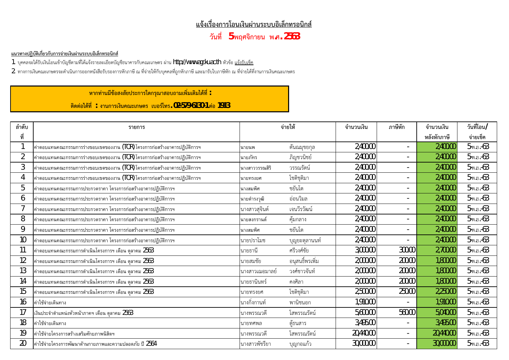## <u>แจ้งเรื่องการโอนเงินผ่านระบบอิเล็กทรอนิกส์</u>

**üĆîìĊę 5 óùýÝĉÖć÷î ó.ý. 2563**

## <u>แนวทางปฏิบัติเกี่ยวกับการจ่ายเงินผ่านระบบอิเล็กทรอนิกส์</u>

1. บุคคลจะได้รับเงินโอนเข้าบัญชีตามที่ได้แจ้งรายละเอียดบัญชีธนาคารกับคณะเกษตร ผ่าน http://www.agr.ku.ac.th หัวข้อ <u>แจ้งรับเช็ค</u>

. ทางการเงินคณะเกษตรจะดำเนินการออกหนังสือรับรองการหักภาษี ณ ที่จ่ายให้กับบุคคลที่ถูกหักภาษี และมารับใบภาษีหัก ณ ที่จ่ายได้ที่งานการเงินคณะเกษตร

์ หากท่านมีข้อสงสัยประการใดกรุณาสอบถามเพิ่มเติมได้ที่ :

**êĉéêŠĂĕéšìĊę : ÜćîÖćøđÜĉîÙèąđÖþêø đïĂøŤēìø. 02-579-6130-1 êŠĂ 1913**

| ลำดับ         | รายการ                                                                             | จ่ายให้        |                 | จำนวนเงิน | ภาษีหัก | จำนวนเงิน   | วันที่โอน/       |
|---------------|------------------------------------------------------------------------------------|----------------|-----------------|-----------|---------|-------------|------------------|
| ที่           |                                                                                    |                |                 |           |         | หลังหักภาษี | จ่ายเช็ค         |
|               | ค่าตอบแทนคณะกรรมการร่างขอบเขตของงาน (TOR) โครงการก่อสร้างอาคารปฏิบัติการฯ          | นายนพ          | ตันณมุขยกุล     | 2,400.00  |         | 2,400.00    | 5-พ.ย.-63        |
|               | ค่าตอบแทนคณะกรรมการร่างขอบเขตของงาน $(\text{TOR})$ โครงการก่อสร้างอาคารปฏิบัติการฯ | นายภัทร        | ภิญชวนิชย์      | 2,400.00  |         | 2,400.00    | $5 - w.e. -63$   |
| 3             | ค่าตอบแทนคณะกรรมการร่างขอบเขตของงาน (TOR) โครงการก่อสร้างอาคารปฏิบัติการฯ          | นางสาววรรณสิริ | วรรณรัตน์       | 2,400.00  |         | 2,400.00    | $5 - w.e. -63$   |
|               | ค่าตอบแทนคณะกรรมการร่างขอบเขตของงาน $(\text{TOR})$ โครงการก่อสร้างอาคารปฏิบัติการฯ | นายทรงยศ       | โชติชุติมา      | 2,400.00  |         | 2,400.00    | $5 - w.e. -63$   |
| 5             | ค่าตอบแทนคณะกรรมการประกวดราคา โครงการก่อสร้างอาคารปฏิบัติการฯ                      | ้นางสมพิศ      | ชยันโต          | 2,400.00  |         | 2,400.00    | $5 - w.e. -63$   |
| $\mathfrak b$ | ค่าตอบแทนคณะกรรมการประกวดราคา โครงการก่อสร้างอาคารปฏิบัติการฯ                      | นายดำรงวุฒิ    | อ่อนวิมล        | 2,400.00  |         | 2,400.00    | $5 - w.e. -63$   |
|               | ค่าตอบแทนคณะกรรมการประกวดราคา โครงการก่อสร้างอาคารปฏิบัติการฯ                      | นางสาวสุจินต์  | เจนวีรวัฒน์     | 2,400.00  |         | 2,400.00    | $5 - w.e. -63$   |
| 8             | ่ค่าตอบแทนคณะกรรมการประกวดราคา โครงการก่อสร้างอาคารปฏิบัติการฯ                     | นายสงกรานต์    | คุ้มกลาง        | 2,400.00  |         | 2,400.00    | $5 - w.e. -63$   |
| 9             | ค่าตอบแทนคณะกรรมการประกวดราคา โครงการก่อสร้างอาคารปฏิบัติการฯ                      | นางสมพิศ       | ชยันโต          | 2,400.00  |         | 2,400.00    | $5 - w.e. -63$   |
| 10            | ค่าตอบแทนคณะกรรมการประกวดราคา โครงการก่อสร้างอาคารปฏิบัติการฯ                      | นายปราโมช      | บุญยะตุลานนท์   | 2,400.00  |         | 2,400.00    | 5-พ.ย.-63        |
| 11            | ค่าตอบแทนคณะกรรมการดำเนินโครงการฯ เดือน ตุลาคม 2563                                | นายธานี        | ศรีวงศ์ชัย      | 3,000.00  | 300.00  | 2,700.00    | 5-พ.ย.-63        |
| 12            | ค่าตอบแทนคณะกรรมการดำเนินโครงการฯ เดือน ตุลาคม $2563$                              | นายสมชัย       | อนุสนธิ์พรเพิ่ม | 2,000.00  | 200.00  | 1,800.00    | $5 - w \cdot 63$ |
| 13            | ค่าตอบแทนคณะกรรมการดำเนินโครงการฯ เดือน ตุลาคม 2563                                | นางสาวเฌอมาลย์ | วงศ์ชาวจันท์    | 2,000.00  | 200.00  | 1,800.00    | $5 - w.e. -63$   |
| 14            | ค่าตอบแทนคณะกรรมการดำเนินโครงการฯ เดือน ตุลาคม 2563                                | นายธานินทร์    | คงศิลา          | 2,000.00  | 200.00  | 1,800.00    | $5 - w.e. -63$   |
| 15            | ค่าตอบแทนคณะกรรมการดำเนินโครงการฯ เดือน ตุลาคม 2563                                | นายทรงยศ       | โชติชุติมา      | 2,500.00  | 250.00  | 2,250.00    | $5 - w.e. -63$   |
| 16            | ค่าใช้จ่ายเดินทาง                                                                  | นางกิ่งกานท์   | พานิชนอก        | 1,910.00  |         | 1,910.00    | $5 - w.e. -63$   |
| 17            | เงินประจำตำแหน่งหัวหน้าภาคฯ เดือน ตุลาคม 2563                                      | นางพรรณวดี     | โสพรรณรัตน์     | 5,600.00  | 560.00  | 5,040.00    | $5 - w.e. -63$   |
| 18            | ค่าใช้จ่ายเดินทาง                                                                  | นายทศพล        | ตู้ธนสาร        | 3,495.00  |         | 3,495.00    | $5 - w.e. -63$   |
| 19            | ค่าใช้จ่ายโครงการสร้างเสริมศักยภาพนิสิตฯ                                           | นางพรรณวดี     | โสพรรณรัตน์     | 20,440.00 |         | 20,440.00   | $5 - w.e. -63$   |
| 20            | ค่าใช้จ่ายโครงการพัฒนาด้านกายภาพและความปลอดภัย ปี 2564                             | นางสาวพัชรียา  | บุญกอแก้ว       | 30,000.00 |         | 30,000.00   | $5 - w.e. -63$   |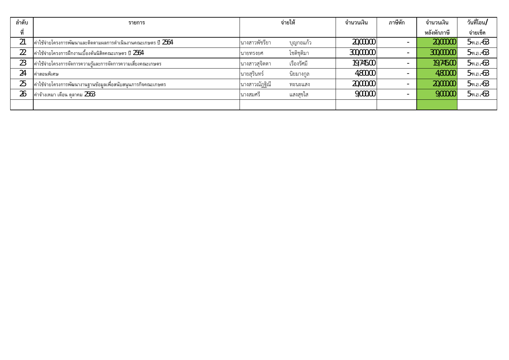| ลำดับ | รายการ                                                        | จ่ายให้                     | จำนวนเงิน  | ภาษีหัก | จำนวนเงิน   | วันที่โอน/     |
|-------|---------------------------------------------------------------|-----------------------------|------------|---------|-------------|----------------|
|       |                                                               |                             |            |         | หลังหักภาษี | จ่ายเช็ค       |
|       | ค่าใช้จ่ายโครงการพัฒนาและติดตามผลการดำเนินงานคณะเกษตร ปี 2564 | นางสาวพัชรียา<br>บุญกอแก้ว  | 20,000.00  |         | 20,000.00   | $5 - w.e. -63$ |
|       | ค่าใช้จ่ายโครงการฝึกงานเบื้องต้นนิสิตคณะเกษตร ปี 2564         | โชติชติมา<br>นายทรงยศ       | 300,000.00 |         | 300,000.00  | 5-พ.ย.-63      |
| 23    | ค่าใช้จ่ายโครงการจัดการความรัและการจัดการความเสี่ยงคณะเกษตร   | เรื่องรัศมี<br>นางสาวสจิตตา | 19,745.00  |         | 19,745.00   | $5 - w.e. -63$ |
| 24    | ค่าสอนพิเศษ                                                   | นิยมางกูล<br>นายสุรินทร์    | 4,800.00   |         | 4,800.00    | $5 - w.e. -63$ |
| 25    | ค่าใช้จ่ายโครงการพัฒนางานฐานข้อมูลเพื่อสนับสนุนภารกิจคณะเกษตร | นางสาวณัฏฐิณี<br>ทะนะแสง    | 20,000.00  |         | 20,000.00   | 5-พ.ย.-63      |
| 26    | ค่าจ้างเหมา เดือน ตุลาคม 2563                                 | <b>นางสมศรี</b><br>แสงสขใส  | 9,000.00   |         | 9,000.00    | 5-พ.ย.-63      |
|       |                                                               |                             |            |         |             |                |